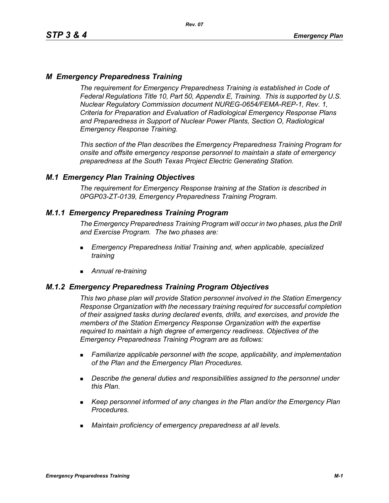# *M Emergency Preparedness Training*

*The requirement for Emergency Preparedness Training is established in Code of Federal Regulations Title 10, Part 50, Appendix E, Training. This is supported by U.S. Nuclear Regulatory Commission document NUREG-0654/FEMA-REP-1, Rev. 1, Criteria for Preparation and Evaluation of Radiological Emergency Response Plans and Preparedness in Support of Nuclear Power Plants, Section O, Radiological Emergency Response Training.*

*This section of the Plan describes the Emergency Preparedness Training Program for onsite and offsite emergency response personnel to maintain a state of emergency preparedness at the South Texas Project Electric Generating Station.*

# *M.1 Emergency Plan Training Objectives*

*The requirement for Emergency Response training at the Station is described in 0PGP03-ZT-0139, Emergency Preparedness Training Program.*

# *M.1.1 Emergency Preparedness Training Program*

*The Emergency Preparedness Training Program will occur in two phases, plus the Drill and Exercise Program. The two phases are:*

- *Emergency Preparedness Initial Training and, when applicable, specialized training*
- *Annual re-training*

## *M.1.2 Emergency Preparedness Training Program Objectives*

*This two phase plan will provide Station personnel involved in the Station Emergency Response Organization with the necessary training required for successful completion of their assigned tasks during declared events, drills, and exercises, and provide the members of the Station Emergency Response Organization with the expertise required to maintain a high degree of emergency readiness. Objectives of the Emergency Preparedness Training Program are as follows:*

- *Familiarize applicable personnel with the scope, applicability, and implementation of the Plan and the Emergency Plan Procedures.*
- *Describe the general duties and responsibilities assigned to the personnel under this Plan.*
- *Keep personnel informed of any changes in the Plan and/or the Emergency Plan Procedures.*
- *Maintain proficiency of emergency preparedness at all levels.*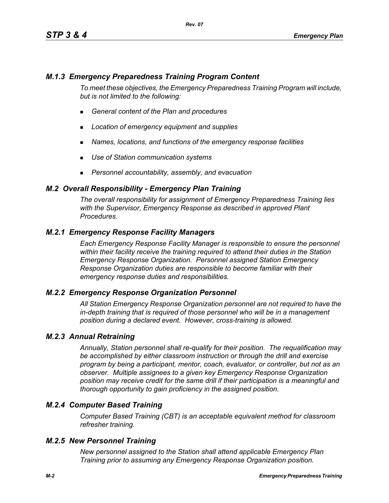# *M.1.3 Emergency Preparedness Training Program Content*

*To meet these objectives, the Emergency Preparedness Training Program will include, but is not limited to the following:*

- *General content of the Plan and procedures*
- *Location of emergency equipment and supplies*
- *Names, locations, and functions of the emergency response facilities*
- *Use of Station communication systems*
- *Personnel accountability, assembly, and evacuation*

### *M.2 Overall Responsibility - Emergency Plan Training*

*The overall responsibility for assignment of Emergency Preparedness Training lies with the Supervisor, Emergency Response as described in approved Plant Procedures.*

## *M.2.1 Emergency Response Facility Managers*

*Each Emergency Response Facility Manager is responsible to ensure the personnel within their facility receive the training required to attend their duties in the Station Emergency Response Organization. Personnel assigned Station Emergency Response Organization duties are responsible to become familiar with their emergency response duties and responsibilities.*

#### *M.2.2 Emergency Response Organization Personnel*

*All Station Emergency Response Organization personnel are not required to have the in-depth training that is required of those personnel who will be in a management position during a declared event. However, cross-training is allowed.*

#### *M.2.3 Annual Retraining*

*Annually, Station personnel shall re-qualify for their position. The requalification may be accomplished by either classroom instruction or through the drill and exercise program by being a participant, mentor, coach, evaluator, or controller, but not as an observer. Multiple assignees to a given key Emergency Response Organization position may receive credit for the same drill if their participation is a meaningful and thorough opportunity to gain proficiency in the assigned position.*

# *M.2.4 Computer Based Training*

*Computer Based Training (CBT) is an acceptable equivalent method for classroom refresher training.*

#### *M.2.5 New Personnel Training*

*New personnel assigned to the Station shall attend applicable Emergency Plan Training prior to assuming any Emergency Response Organization position.*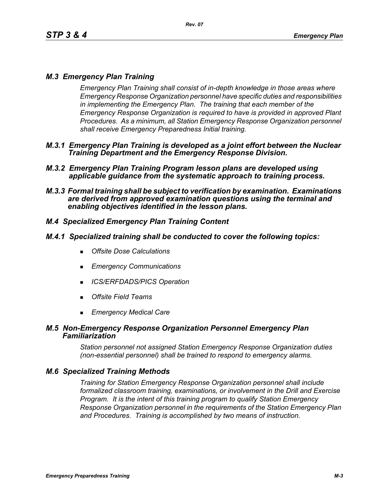# *M.3 Emergency Plan Training*

*Emergency Plan Training shall consist of in-depth knowledge in those areas where Emergency Response Organization personnel have specific duties and responsibilities in implementing the Emergency Plan. The training that each member of the Emergency Response Organization is required to have is provided in approved Plant Procedures. As a minimum, all Station Emergency Response Organization personnel shall receive Emergency Preparedness Initial training.*

- *M.3.1 Emergency Plan Training is developed as a joint effort between the Nuclear Training Department and the Emergency Response Division.*
- *M.3.2 Emergency Plan Training Program lesson plans are developed using applicable guidance from the systematic approach to training process.*
- *M.3.3 Formal training shall be subject to verification by examination. Examinations are derived from approved examination questions using the terminal and enabling objectives identified in the lesson plans.*

# *M.4 Specialized Emergency Plan Training Content*

### *M.4.1 Specialized training shall be conducted to cover the following topics:*

- *Offsite Dose Calculations*
- *Emergency Communications*
- *ICS/ERFDADS/PICS Operation*
- *Offsite Field Teams*
- *Emergency Medical Care*

### *M.5 Non-Emergency Response Organization Personnel Emergency Plan Familiarization*

*Station personnel not assigned Station Emergency Response Organization duties (non-essential personnel) shall be trained to respond to emergency alarms.*

## *M.6 Specialized Training Methods*

*Training for Station Emergency Response Organization personnel shall include formalized classroom training, examinations, or involvement in the Drill and Exercise Program. It is the intent of this training program to qualify Station Emergency Response Organization personnel in the requirements of the Station Emergency Plan and Procedures. Training is accomplished by two means of instruction.*